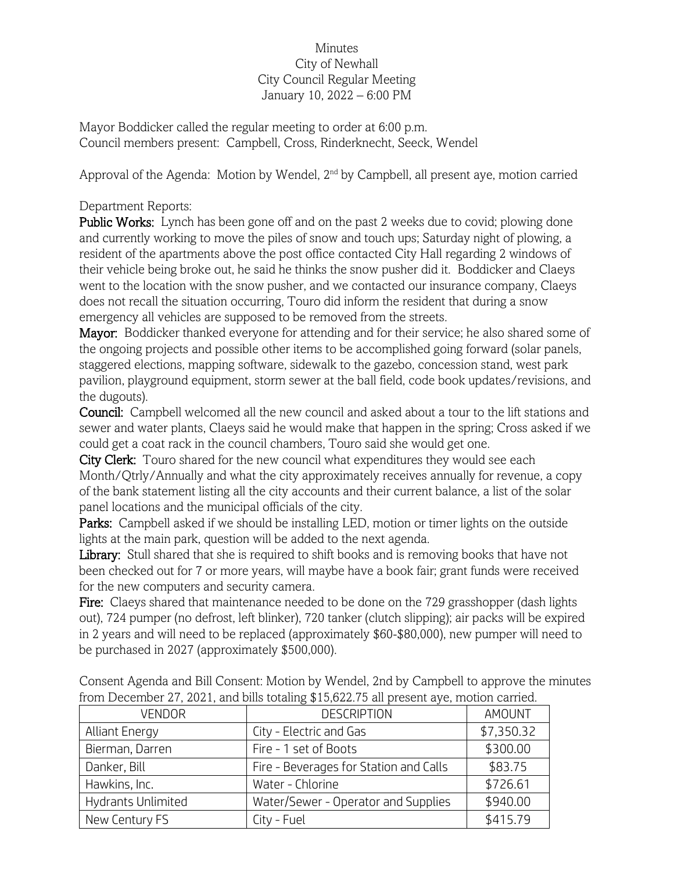## Minutes City of Newhall City Council Regular Meeting January 10, 2022 – 6:00 PM

Mayor Boddicker called the regular meeting to order at 6:00 p.m. Council members present: Campbell, Cross, Rinderknecht, Seeck, Wendel

Approval of the Agenda: Motion by Wendel, 2nd by Campbell, all present aye, motion carried

## Department Reports:

Public Works: Lynch has been gone off and on the past 2 weeks due to covid; plowing done and currently working to move the piles of snow and touch ups; Saturday night of plowing, a resident of the apartments above the post office contacted City Hall regarding 2 windows of their vehicle being broke out, he said he thinks the snow pusher did it. Boddicker and Claeys went to the location with the snow pusher, and we contacted our insurance company, Claeys does not recall the situation occurring, Touro did inform the resident that during a snow emergency all vehicles are supposed to be removed from the streets.

Mayor: Boddicker thanked everyone for attending and for their service; he also shared some of the ongoing projects and possible other items to be accomplished going forward (solar panels, staggered elections, mapping software, sidewalk to the gazebo, concession stand, west park pavilion, playground equipment, storm sewer at the ball field, code book updates/revisions, and the dugouts).

Council: Campbell welcomed all the new council and asked about a tour to the lift stations and sewer and water plants, Claeys said he would make that happen in the spring; Cross asked if we could get a coat rack in the council chambers, Touro said she would get one.

City Clerk: Touro shared for the new council what expenditures they would see each Month/Qtrly/Annually and what the city approximately receives annually for revenue, a copy of the bank statement listing all the city accounts and their current balance, a list of the solar panel locations and the municipal officials of the city.

Parks: Campbell asked if we should be installing LED, motion or timer lights on the outside lights at the main park, question will be added to the next agenda.

Library: Stull shared that she is required to shift books and is removing books that have not been checked out for 7 or more years, will maybe have a book fair; grant funds were received for the new computers and security camera.

Fire: Claeys shared that maintenance needed to be done on the 729 grasshopper (dash lights out), 724 pumper (no defrost, left blinker), 720 tanker (clutch slipping); air packs will be expired in 2 years and will need to be replaced (approximately \$60-\$80,000), new pumper will need to be purchased in 2027 (approximately \$500,000).

Consent Agenda and Bill Consent: Motion by Wendel, 2nd by Campbell to approve the minutes from December 27, 2021, and bills totaling \$15,622.75 all present aye, motion carried.

| <b>VENDOR</b>         | <b>DESCRIPTION</b>                     | AMOUNT     |
|-----------------------|----------------------------------------|------------|
| <b>Alliant Energy</b> | City - Electric and Gas                | \$7,350.32 |
| Bierman, Darren       | Fire - 1 set of Boots                  | \$300.00   |
| Danker, Bill          | Fire - Beverages for Station and Calls | \$83.75    |
| Hawkins, Inc.         | Water - Chlorine                       | \$726.61   |
| Hydrants Unlimited    | Water/Sewer - Operator and Supplies    | \$940.00   |
| New Century FS        | City - Fuel                            | \$415.79   |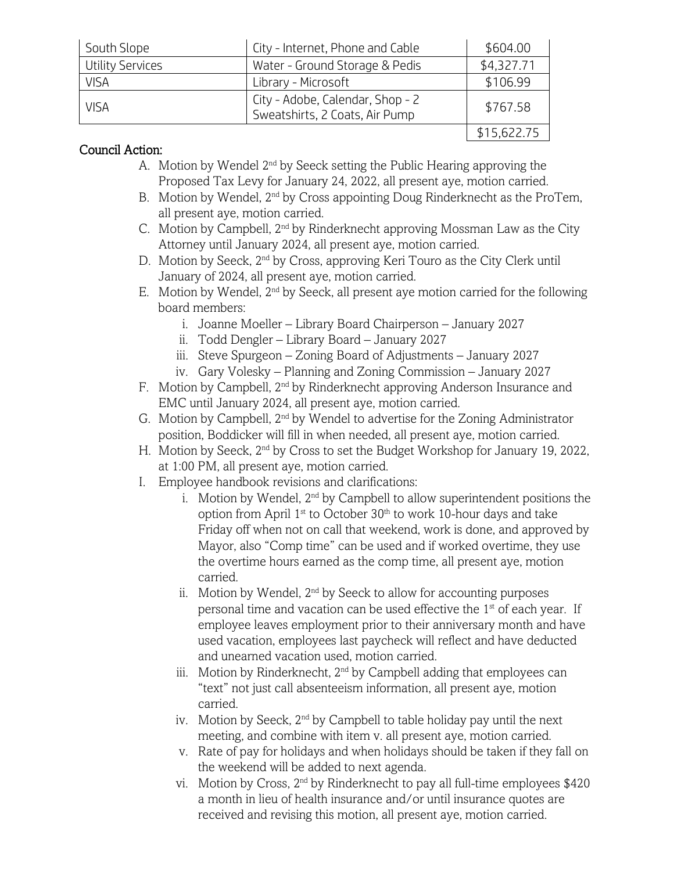| South Slope             | City - Internet, Phone and Cable                                   | \$604.00    |
|-------------------------|--------------------------------------------------------------------|-------------|
| <b>Utility Services</b> | Water - Ground Storage & Pedis                                     | \$4,327.71  |
| <b>VISA</b>             | Library - Microsoft                                                | \$106.99    |
| <b>VISA</b>             | City - Adobe, Calendar, Shop - 2<br>Sweatshirts, 2 Coats, Air Pump | \$767.58    |
|                         |                                                                    | \$15,622.75 |

## Council Action:

- A. Motion by Wendel  $2<sup>nd</sup>$  by Seeck setting the Public Hearing approving the Proposed Tax Levy for January 24, 2022, all present aye, motion carried.
- B. Motion by Wendel, 2<sup>nd</sup> by Cross appointing Doug Rinderknecht as the ProTem, all present aye, motion carried.
- C. Motion by Campbell,  $2<sup>nd</sup>$  by Rinderknecht approving Mossman Law as the City Attorney until January 2024, all present aye, motion carried.
- D. Motion by Seeck, 2<sup>nd</sup> by Cross, approving Keri Touro as the City Clerk until January of 2024, all present aye, motion carried.
- E. Motion by Wendel,  $2<sup>nd</sup>$  by Seeck, all present aye motion carried for the following board members:
	- i. Joanne Moeller Library Board Chairperson January 2027
	- ii. Todd Dengler Library Board January 2027
	- iii. Steve Spurgeon Zoning Board of Adjustments January 2027
	- iv. Gary Volesky Planning and Zoning Commission January 2027
- F. Motion by Campbell, 2<sup>nd</sup> by Rinderknecht approving Anderson Insurance and EMC until January 2024, all present aye, motion carried.
- G. Motion by Campbell,  $2^{nd}$  by Wendel to advertise for the Zoning Administrator position, Boddicker will fill in when needed, all present aye, motion carried.
- H. Motion by Seeck, 2nd by Cross to set the Budget Workshop for January 19, 2022, at 1:00 PM, all present aye, motion carried.
- I. Employee handbook revisions and clarifications:
	- i. Motion by Wendel,  $2<sup>nd</sup>$  by Campbell to allow superintendent positions the option from April 1<sup>st</sup> to October 30<sup>th</sup> to work 10-hour days and take Friday off when not on call that weekend, work is done, and approved by Mayor, also "Comp time" can be used and if worked overtime, they use the overtime hours earned as the comp time, all present aye, motion carried.
	- ii. Motion by Wendel,  $2<sup>nd</sup>$  by Seeck to allow for accounting purposes personal time and vacation can be used effective the  $1<sup>st</sup>$  of each year. If employee leaves employment prior to their anniversary month and have used vacation, employees last paycheck will reflect and have deducted and unearned vacation used, motion carried.
	- iii. Motion by Rinderknecht,  $2<sup>nd</sup>$  by Campbell adding that employees can "text" not just call absenteeism information, all present aye, motion carried.
	- iv. Motion by Seeck, 2<sup>nd</sup> by Campbell to table holiday pay until the next meeting, and combine with item v. all present aye, motion carried.
	- v. Rate of pay for holidays and when holidays should be taken if they fall on the weekend will be added to next agenda.
	- vi. Motion by Cross, 2nd by Rinderknecht to pay all full-time employees \$420 a month in lieu of health insurance and/or until insurance quotes are received and revising this motion, all present aye, motion carried.